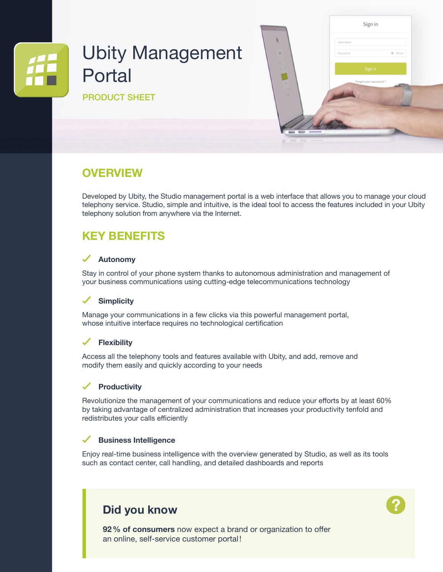# Ubity Management Portal

PRODUCT SHEET



### **OVERVIEW**

Developed by Ubity, the Studio management portal is a web interface that allows you to manage your cloud telephony service. Studio, simple and intuitive, is the ideal tool to access the features included in your Ubity telephony solution from anywhere via the Internet.

## **KEY BENEFITS**

### **Autonomy**

Stay in control of your phone system thanks to autonomous administration and management of your business communications using cutting-edge telecommunications technology

### **Simplicity**

Manage your communications in a few clicks via this powerful management portal, whose intuitive interface requires no technological certification

### **Flexibility**

Access all the telephony tools and features available with Ubity, and add, remove and modify them easily and quickly according to your needs

### **Productivity**

Revolutionize the management of your communications and reduce your efforts by at least 60% by taking advantage of centralized administration that increases your productivity tenfold and redistributes your calls efficiently

#### ✓ **Business Intelligence**

Enjoy real-time business intelligence with the overview generated by Studio, as well as its tools such as contact center, call handling, and detailed dashboards and reports

### **Did you know**



**92% of consumers** now expect a brand or organization to offer an online, self-service customer portal!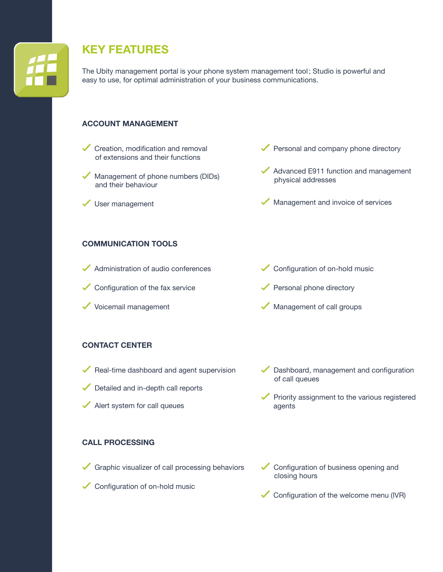

## **KEY FEATURES**

The Ubity management portal is your phone system management tool; Studio is powerful and easy to use, for optimal administration of your business communications.

### **ACCOUNT MANAGEMENT**

- Creation, modification and removal of extensions and their functions
- Management of phone numbers (DIDs) and their behaviour
- User management
- Personal and company phone directory
- Advanced E911 function and management physical addresses
- Management and invoice of services

### **COMMUNICATION TOOLS**

- Administration of audio conferences
- Configuration of the fax service
- Voicemail management
- Configuration of on-hold music
- Personal phone directory
- Management of call groups

### **CONTACT CENTER**

- $\blacktriangleright$  Real-time dashboard and agent supervision
- Detailed and in-depth call reports
- Alert system for call queues

### **CALL PROCESSING**

- Graphic visualizer of call processing behaviors
- Configuration of on-hold music
- Dashboard, management and configuration of call queues
- $\blacktriangleright$  Priority assignment to the various registered agents
- Configuration of business opening and closing hours
- Configuration of the welcome menu (IVR)